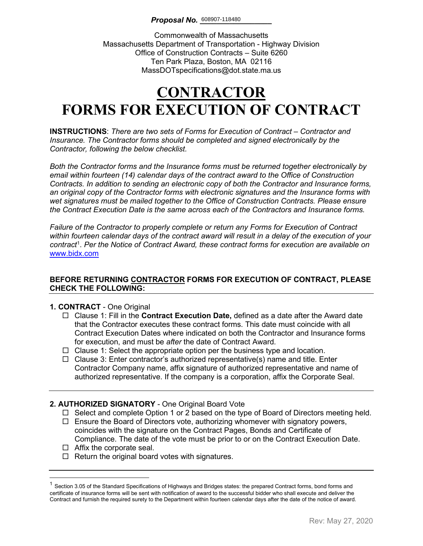Commonwealth of Massachusetts Massachusetts Department of Transportation - Highway Division Office of Construction Contracts – Suite 6260 Ten Park Plaza, Boston, MA 02116 MassDOTspecifications@dot.state.ma.us

# **CONTRACTOR FORMS FOR EXECUTION OF CONTRACT**

**INSTRUCTIONS**: *There are two sets of Forms for Execution of Contract – Contractor and Insurance. The Contractor forms should be completed and signed electronically by the Contractor, following the below checklist.* 

*Both the Contractor forms and the Insurance forms must be returned together electronically by email within fourteen (14) calendar days of the contract award to the Office of Construction Contracts. In addition to sending an electronic copy of both the Contractor and Insurance forms, an original copy of the Contractor forms with electronic signatures and the Insurance forms with wet signatures must be mailed together to the Office of Construction Contracts. Please ensure the Contract Execution Date is the same across each of the Contractors and Insurance forms.*

*Failure of the Contractor to properly complete or return any Forms for Execution of Contract within fourteen calendar days of the contract award will result in a delay of the execution of your contract*[1](#page-0-0) . *Per the Notice of Contract Award, these contract forms for execution are available on*  [www.bidx.com](http://www.bidx.com/)

### **BEFORE RETURNING CONTRACTOR FORMS FOR EXECUTION OF CONTRACT, PLEASE CHECK THE FOLLOWING:**

#### **1. CONTRACT** - One Original

- Clause 1: Fill in the **Contract Execution Date,** defined as a date after the Award date that the Contractor executes these contract forms. This date must coincide with all Contract Execution Dates where indicated on both the Contractor and Insurance forms for execution, and must be *after* the date of Contract Award.
- $\Box$  Clause 1: Select the appropriate option per the business type and location.
- $\Box$  Clause 3: Enter contractor's authorized representative(s) name and title. Enter Contractor Company name, affix signature of authorized representative and name of authorized representative. If the company is a corporation, affix the Corporate Seal.

### **2. AUTHORIZED SIGNATORY** - One Original Board Vote

- $\Box$  Select and complete Option 1 or 2 based on the type of Board of Directors meeting held.
- $\Box$  Ensure the Board of Directors vote, authorizing whomever with signatory powers, coincides with the signature on the Contract Pages, Bonds and Certificate of Compliance. The date of the vote must be prior to or on the Contract Execution Date.
- $\Box$  Affix the corporate seal.
- $\Box$  Return the original board votes with signatures.

<span id="page-0-0"></span> $1$  Section 3.05 of the Standard Specifications of Highways and Bridges states: the prepared Contract forms, bond forms and certificate of insurance forms will be sent with notification of award to the successful bidder who shall execute and deliver the Contract and furnish the required surety to the Department within fourteen calendar days after the date of the notice of award.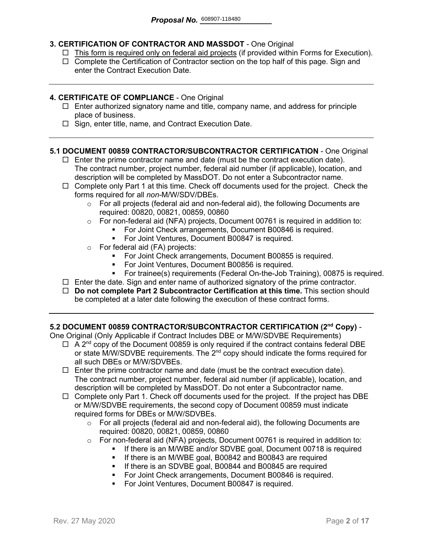### **3. CERTIFICATION OF CONTRACTOR AND MASSDOT** - One Original

- $\Box$  This form is required only on federal aid projects (if provided within Forms for Execution).
- $\Box$  Complete the Certification of Contractor section on the top half of this page. Sign and enter the Contract Execution Date.

#### **4. CERTIFICATE OF COMPLIANCE** - One Original

- $\Box$  Enter authorized signatory name and title, company name, and address for principle place of business.
- $\Box$  Sign, enter title, name, and Contract Execution Date.

#### **5.1 DOCUMENT 00859 CONTRACTOR/SUBCONTRACTOR CERTIFICATION** - One Original

- $\Box$  Enter the prime contractor name and date (must be the contract execution date). The contract number, project number, federal aid number (if applicable), location, and description will be completed by MassDOT. Do not enter a Subcontractor name.
- $\Box$  Complete only Part 1 at this time. Check off documents used for the project. Check the forms required for all *non-*M/W/SDV/DBEs.
	- $\circ$  For all projects (federal aid and non-federal aid), the following Documents are required: 00820, 00821, 00859, 00860
	- o For non-federal aid (NFA) projects, Document 00761 is required in addition to:
		- For Joint Check arrangements, Document B00846 is required.
		- **For Joint Ventures, Document B00847 is required.**
	- o For federal aid (FA) projects:
		- **For Joint Check arrangements, Document B00855 is required.**
		- For Joint Ventures, Document B00856 is required.
		- For trainee(s) requirements (Federal On-the-Job Training), 00875 is required.
- $\Box$  Enter the date. Sign and enter name of authorized signatory of the prime contractor.
- **Do not complete Part 2 Subcontractor Certification at this time.** This section should be completed at a later date following the execution of these contract forms.

#### **5.2 DOCUMENT 00859 CONTRACTOR/SUBCONTRACTOR CERTIFICATION (2nd Copy)** -

One Original (Only Applicable if Contract Includes DBE or M/W/SDVBE Requirements)

- $\Box$  A 2<sup>nd</sup> copy of the Document 00859 is only required if the contract contains federal DBE or state M/W/SDVBE requirements. The  $2^{nd}$  copy should indicate the forms required for all such DBEs or M/W/SDVBEs.
- $\Box$  Enter the prime contractor name and date (must be the contract execution date). The contract number, project number, federal aid number (if applicable), location, and description will be completed by MassDOT. Do not enter a Subcontractor name.
- $\Box$  Complete only Part 1. Check off documents used for the project. If the project has DBE or M/W/SDVBE requirements, the second copy of Document 00859 must indicate required forms for DBEs or M/W/SDVBEs.
	- $\circ$  For all projects (federal aid and non-federal aid), the following Documents are required: 00820, 00821, 00859, 00860
	- o For non-federal aid (NFA) projects, Document 00761 is required in addition to:
		- If there is an M/WBE and/or SDVBE goal, Document 00718 is required
			- **If there is an M/WBE goal, B00842 and B00843 are required**
		- **If there is an SDVBE goal, B00844 and B00845 are required**
		- **For Joint Check arrangements, Document B00846 is required.**
		- **For Joint Ventures, Document B00847 is required.**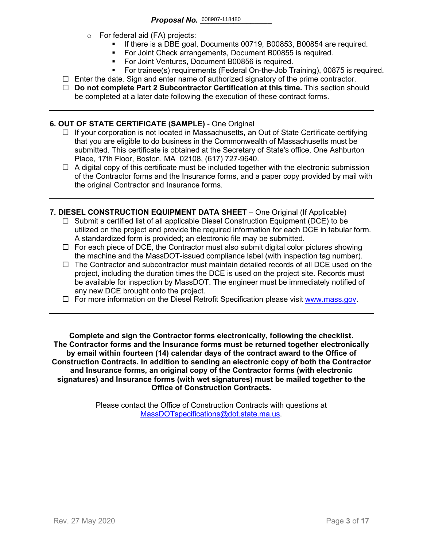- o For federal aid (FA) projects:
	- If there is a DBE goal, Documents 00719, B00853, B00854 are required.
	- For Joint Check arrangements, Document B00855 is required.
	- **For Joint Ventures, Document B00856 is required.**
	- For trainee(s) requirements (Federal On-the-Job Training), 00875 is required.
- $\Box$  Enter the date. Sign and enter name of authorized signatory of the prime contractor.
- **Do not complete Part 2 Subcontractor Certification at this time.** This section should be completed at a later date following the execution of these contract forms.

#### **6. OUT OF STATE CERTIFICATE (SAMPLE)** - One Original

- $\Box$  If your corporation is not located in Massachusetts, an Out of State Certificate certifying that you are eligible to do business in the Commonwealth of Massachusetts must be submitted. This certificate is obtained at the Secretary of State's office, One Ashburton Place, 17th Floor, Boston, MA 02108, (617) 727-9640.
- $\Box$  A digital copy of this certificate must be included together with the electronic submission of the Contractor forms and the Insurance forms, and a paper copy provided by mail with the original Contractor and Insurance forms.
- **7. DIESEL CONSTRUCTION EQUIPMENT DATA SHEET** One Original (If Applicable)
	- $\Box$  Submit a certified list of all applicable Diesel Construction Equipment (DCE) to be utilized on the project and provide the required information for each DCE in tabular form. A standardized form is provided; an electronic file may be submitted.
	- $\Box$  For each piece of DCE, the Contractor must also submit digital color pictures showing the machine and the MassDOT-issued compliance label (with inspection tag number).
	- $\Box$  The Contractor and subcontractor must maintain detailed records of all DCE used on the project, including the duration times the DCE is used on the project site. Records must be available for inspection by MassDOT. The engineer must be immediately notified of any new DCE brought onto the project.
	- $\Box$  For more information on the Diesel Retrofit Specification please visit [www.mass.gov.](https://www.mass.gov/service-details/massdot-diesel-retrofit-specification)

**Complete and sign the Contractor forms electronically, following the checklist. The Contractor forms and the Insurance forms must be returned together electronically by email within fourteen (14) calendar days of the contract award to the Office of Construction Contracts. In addition to sending an electronic copy of both the Contractor and Insurance forms, an original copy of the Contractor forms (with electronic signatures) and Insurance forms (with wet signatures) must be mailed together to the Office of Construction Contracts.**

> Please contact the Office of Construction Contracts with questions at [MassDOTspecifications@dot.state.ma.us.](mailto:MassDOTspecifications@dot.state.ma.us)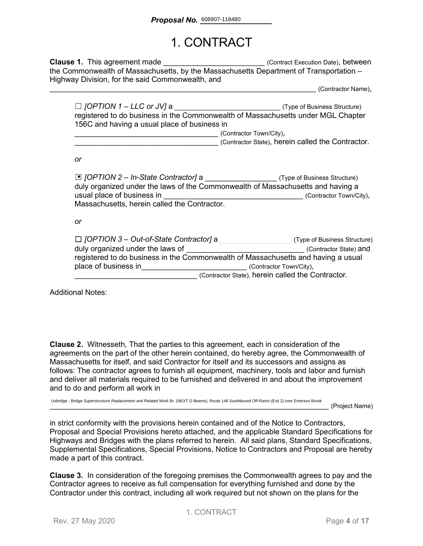# 1. CONTRACT

**Clause 1.** This agreement made **Execution Datel** (Contract Execution Date), between the Commonwealth of Massachusetts, by the Massachusetts Department of Transportation – Highway Division, for the said Commonwealth, and

\_\_\_\_\_\_\_\_\_\_\_\_\_\_\_\_\_\_\_\_\_\_\_\_\_\_\_\_\_\_\_\_\_\_\_\_\_\_\_\_\_\_\_\_\_\_\_\_\_\_\_\_\_\_\_\_\_\_\_\_\_\_\_ (Contractor Name),

| $\Box$ [OPTION 1 – LLC or JV] a                                                  | (Type of Business Structure) |  |
|----------------------------------------------------------------------------------|------------------------------|--|
| registered to do business in the Commonwealth of Massachusetts under MGL Chapter |                              |  |
| 156C and having a usual place of business in                                     |                              |  |
|                                                                                  | (Contractor Town/City),      |  |

\_\_\_\_\_\_\_\_\_\_\_\_\_\_\_\_\_\_\_\_\_\_\_\_\_\_\_\_\_\_\_\_\_\_ (Contractor State), herein called the Contractor.

*or*

| □ [OPTION 2 - In-State Contractor] a ______________________(Type of Business Structure)<br>duly organized under the laws of the Commonwealth of Massachusetts and having a |                                     |
|----------------------------------------------------------------------------------------------------------------------------------------------------------------------------|-------------------------------------|
| usual place of business in                                                                                                                                                 | (Contractor Town/City),             |
| Massachusetts, herein called the Contractor.                                                                                                                               |                                     |
|                                                                                                                                                                            |                                     |
| or                                                                                                                                                                         |                                     |
|                                                                                                                                                                            |                                     |
| $\Box$ [OPTION 3 – Out-of-State Contractor] a                                                                                                                              | (Type of Business Structure)        |
| duly organized under the laws of                                                                                                                                           | (Contractor State) and              |
| registered to do business in the Commonwealth of Massachusetts and having a usual                                                                                          |                                     |
| place of business in                                                                                                                                                       | (Contractor Town/City),             |
|                                                                                                                                                                            | 10. I ALL beneficial the Centration |

\_\_\_\_\_\_\_\_\_\_\_\_\_\_\_\_\_\_\_\_\_\_\_\_\_\_\_\_\_ (Contractor State), herein called the Contractor.

Additional Notes:

**Clause 2.** Witnesseth, That the parties to this agreement, each in consideration of the agreements on the part of the other herein contained, do hereby agree, the Commonwealth of Massachusetts for itself, and said Contractor for itself and its successors and assigns as follows: The contractor agrees to furnish all equipment, machinery, tools and labor and furnish and deliver all materials required to be furnished and delivered in and about the improvement and to do and perform all work in

Uxbridge - Bridge Superstructure Replacement and Related Work Br. (NEXT D Beams), Route 146 Southbound Off-Ramo (Exit 2) over Emerson Brook

\_\_\_\_\_\_\_\_\_\_\_\_\_\_\_\_\_\_\_\_\_\_\_\_\_\_\_\_\_\_\_\_\_\_\_\_\_\_\_\_\_\_\_\_\_\_\_\_\_\_\_\_\_\_\_\_\_\_\_\_\_\_\_\_\_\_ (Project Name)

in strict conformity with the provisions herein contained and of the Notice to Contractors, Proposal and Special Provisions hereto attached, and the applicable Standard Specifications for Highways and Bridges with the plans referred to herein. All said plans, Standard Specifications, Supplemental Specifications, Special Provisions, Notice to Contractors and Proposal are hereby made a part of this contract.

**Clause 3.** In consideration of the foregoing premises the Commonwealth agrees to pay and the Contractor agrees to receive as full compensation for everything furnished and done by the Contractor under this contract, including all work required but not shown on the plans for the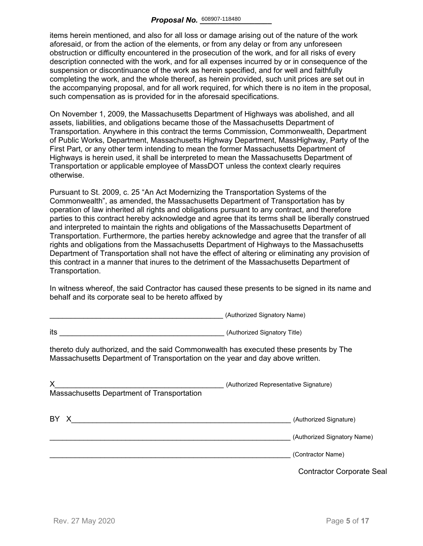items herein mentioned, and also for all loss or damage arising out of the nature of the work aforesaid, or from the action of the elements, or from any delay or from any unforeseen obstruction or difficulty encountered in the prosecution of the work, and for all risks of every description connected with the work, and for all expenses incurred by or in consequence of the suspension or discontinuance of the work as herein specified, and for well and faithfully completing the work, and the whole thereof, as herein provided, such unit prices are set out in the accompanying proposal, and for all work required, for which there is no item in the proposal, such compensation as is provided for in the aforesaid specifications.

On November 1, 2009, the Massachusetts Department of Highways was abolished, and all assets, liabilities, and obligations became those of the Massachusetts Department of Transportation. Anywhere in this contract the terms Commission, Commonwealth, Department of Public Works, Department, Massachusetts Highway Department, MassHighway, Party of the First Part, or any other term intending to mean the former Massachusetts Department of Highways is herein used, it shall be interpreted to mean the Massachusetts Department of Transportation or applicable employee of MassDOT unless the context clearly requires otherwise.

Pursuant to St. 2009, c. 25 "An Act Modernizing the Transportation Systems of the Commonwealth", as amended, the Massachusetts Department of Transportation has by operation of law inherited all rights and obligations pursuant to any contract, and therefore parties to this contract hereby acknowledge and agree that its terms shall be liberally construed and interpreted to maintain the rights and obligations of the Massachusetts Department of Transportation. Furthermore, the parties hereby acknowledge and agree that the transfer of all rights and obligations from the Massachusetts Department of Highways to the Massachusetts Department of Transportation shall not have the effect of altering or eliminating any provision of this contract in a manner that inures to the detriment of the Massachusetts Department of Transportation.

In witness whereof, the said Contractor has caused these presents to be signed in its name and behalf and its corporate seal to be hereto affixed by

\_\_\_\_\_\_\_\_\_\_\_\_\_\_\_\_\_\_\_\_\_\_\_\_\_\_\_\_\_\_\_\_\_\_\_\_\_\_\_\_\_ (Authorized Signatory Name)

|                                                                                                                                                                                                                                      | $\alpha$                                         |
|--------------------------------------------------------------------------------------------------------------------------------------------------------------------------------------------------------------------------------------|--------------------------------------------------|
| its<br>(Authorized Signatory Title) Contract to the Contract of Contract of Contract of Contract of Contract of Contract of Contract of Contract of Contract of Contract of Contract of Contract of Contract of Contract of Contract |                                                  |
| thereto duly authorized, and the said Commonwealth has executed these presents by The<br>Massachusetts Department of Transportation on the year and day above written.                                                               |                                                  |
| X<br>Massachusetts Department of Transportation                                                                                                                                                                                      | (Authorized Representative Signature)            |
| BY X                                                                                                                                                                                                                                 | (Authorized Signature)                           |
|                                                                                                                                                                                                                                      | (Authorized Signatory Name)<br>(Contractor Name) |
|                                                                                                                                                                                                                                      | <b>Contractor Corporate Seal</b>                 |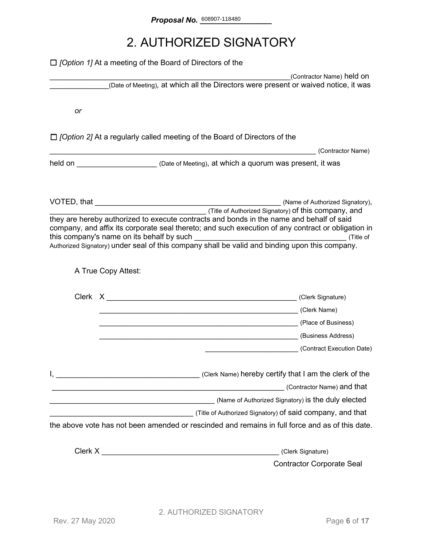# 2. AUTHORIZED SIGNATORY

|    | $\Box$ <i>[Option 1]</i> At a meeting of the Board of Directors of the                                                                                                                                                         |                                                                                                                                                                                                                                                                                                                                                          |
|----|--------------------------------------------------------------------------------------------------------------------------------------------------------------------------------------------------------------------------------|----------------------------------------------------------------------------------------------------------------------------------------------------------------------------------------------------------------------------------------------------------------------------------------------------------------------------------------------------------|
|    |                                                                                                                                                                                                                                | (Contractor Name) held on<br>(Date of Meeting), at which all the Directors were present or waived notice, it was                                                                                                                                                                                                                                         |
|    |                                                                                                                                                                                                                                |                                                                                                                                                                                                                                                                                                                                                          |
| or |                                                                                                                                                                                                                                |                                                                                                                                                                                                                                                                                                                                                          |
|    |                                                                                                                                                                                                                                | $\Box$ /Option 2] At a regularly called meeting of the Board of Directors of the                                                                                                                                                                                                                                                                         |
|    |                                                                                                                                                                                                                                | (Contractor Name)                                                                                                                                                                                                                                                                                                                                        |
|    |                                                                                                                                                                                                                                | held on <u>New Your Chate of Meeting</u> ), at which a quorum was present, it was                                                                                                                                                                                                                                                                        |
|    |                                                                                                                                                                                                                                |                                                                                                                                                                                                                                                                                                                                                          |
|    |                                                                                                                                                                                                                                | (Title of Authorized Signatory) of this company, and<br>they are hereby authorized to execute contracts and bonds in the name and behalf of said<br>company, and affix its corporate seal thereto; and such execution of any contract or obligation in<br>Authorized Signatory) under seal of this company shall be valid and binding upon this company. |
|    | A True Copy Attest:                                                                                                                                                                                                            |                                                                                                                                                                                                                                                                                                                                                          |
|    |                                                                                                                                                                                                                                |                                                                                                                                                                                                                                                                                                                                                          |
|    |                                                                                                                                                                                                                                | (Clerk Name) (Clerk Name)                                                                                                                                                                                                                                                                                                                                |
|    |                                                                                                                                                                                                                                |                                                                                                                                                                                                                                                                                                                                                          |
|    |                                                                                                                                                                                                                                |                                                                                                                                                                                                                                                                                                                                                          |
|    |                                                                                                                                                                                                                                | (Contract Execution Date)                                                                                                                                                                                                                                                                                                                                |
|    |                                                                                                                                                                                                                                | Clerk Name) hereby certify that I am the clerk of the contract the clerk of the                                                                                                                                                                                                                                                                          |
|    | <u> 1988 - Johann Barn, mars ann an t-Amhain Aonaich an t-Aonaich an t-Aonaich ann an t-Aonaich ann an t-Aonaich</u>                                                                                                           | (Contractor Name) and that                                                                                                                                                                                                                                                                                                                               |
|    |                                                                                                                                                                                                                                |                                                                                                                                                                                                                                                                                                                                                          |
|    |                                                                                                                                                                                                                                |                                                                                                                                                                                                                                                                                                                                                          |
|    |                                                                                                                                                                                                                                | the above vote has not been amended or rescinded and remains in full force and as of this date.                                                                                                                                                                                                                                                          |
|    | Clerk X New York Street, Street Street Street Street Street Street Street Street Street Street Street Street Street Street Street Street Street Street Street Street Street Street Street Street Street Street Street Street S | (Clerk Signature)                                                                                                                                                                                                                                                                                                                                        |
|    |                                                                                                                                                                                                                                | <b>Contractor Corporate Seal</b>                                                                                                                                                                                                                                                                                                                         |
|    |                                                                                                                                                                                                                                |                                                                                                                                                                                                                                                                                                                                                          |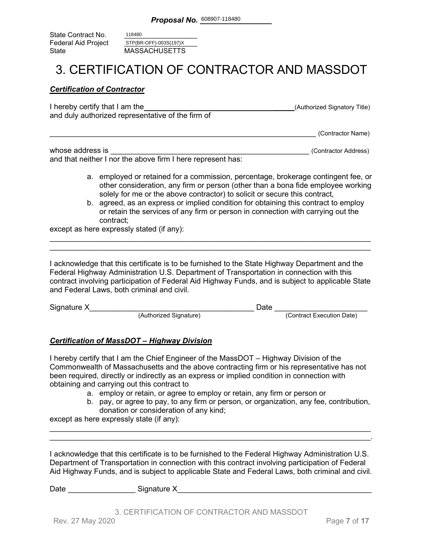State Contract No. Federal Aid Project<br>State **MASSACHUSETTS** 118480 STP(BR-OFF)-003S(197)X

### 3. CERTIFICATION OF CONTRACTOR AND MASSDOT

#### *Certification of Contractor*

| I hereby certify that I am the                    | (Authorized Signatory Title) |
|---------------------------------------------------|------------------------------|
| and duly authorized representative of the firm of |                              |
|                                                   |                              |

\_\_\_\_\_\_\_\_\_\_\_\_\_\_\_\_\_\_\_\_\_\_\_\_\_\_\_\_\_\_\_\_\_\_\_\_\_\_\_\_\_\_\_\_\_\_\_\_\_\_\_\_\_\_\_\_\_\_\_\_\_\_\_ (Contractor Name)

| whose address is                                            | (Contractor Address) |
|-------------------------------------------------------------|----------------------|
| and that neither I nor the above firm I here represent has: |                      |

- a. employed or retained for a commission, percentage, brokerage contingent fee, or other consideration, any firm or person (other than a bona fide employee working solely for me or the above contractor) to solicit or secure this contract,
- b. agreed, as an express or implied condition for obtaining this contract to employ or retain the services of any firm or person in connection with carrying out the contract;

except as here expressly stated (if any):

I acknowledge that this certificate is to be furnished to the State Highway Department and the Federal Highway Administration U.S. Department of Transportation in connection with this contract involving participation of Federal Aid Highway Funds, and is subject to applicable State and Federal Laws, both criminal and civil.

\_\_\_\_\_\_\_\_\_\_\_\_\_\_\_\_\_\_\_\_\_\_\_\_\_\_\_\_\_\_\_\_\_\_\_\_\_\_\_\_\_\_\_\_\_\_\_\_\_\_\_\_\_\_\_\_\_\_\_\_\_\_\_\_\_\_\_\_\_\_\_\_\_\_\_\_ \_\_\_\_\_\_\_\_\_\_\_\_\_\_\_\_\_\_\_\_\_\_\_\_\_\_\_\_\_\_\_\_\_\_\_\_\_\_\_\_\_\_\_\_\_\_\_\_\_\_\_\_\_\_\_\_\_\_\_\_\_\_\_\_\_\_\_\_\_\_\_\_\_\_\_\_

| Signature X |                        | Date |                           |
|-------------|------------------------|------|---------------------------|
|             | (Authorized Signature) |      | (Contract Execution Date) |

### *Certification of MassDOT – Highway Division*

I hereby certify that I am the Chief Engineer of the MassDOT – Highway Division of the Commonwealth of Massachusetts and the above contracting firm or his representative has not been required, directly or indirectly as an express or implied condition in connection with obtaining and carrying out this contract to

- a. employ or retain, or agree to employ or retain, any firm or person or
- b. pay, or agree to pay, to any firm or person, or organization, any fee, contribution, donation or consideration of any kind;

except as here expressly state (if any):

I acknowledge that this certificate is to be furnished to the Federal Highway Administration U.S. Department of Transportation in connection with this contract involving participation of Federal Aid Highway Funds, and is subject to applicable State and Federal Laws, both criminal and civil.

\_\_\_\_\_\_\_\_\_\_\_\_\_\_\_\_\_\_\_\_\_\_\_\_\_\_\_\_\_\_\_\_\_\_\_\_\_\_\_\_\_\_\_\_\_\_\_\_\_\_\_\_\_\_\_\_\_\_\_\_\_\_\_\_\_\_\_\_\_\_\_\_\_\_\_\_ \_\_\_\_\_\_\_\_\_\_\_\_\_\_\_\_\_\_\_\_\_\_\_\_\_\_\_\_\_\_\_\_\_\_\_\_\_\_\_\_\_\_\_\_\_\_\_\_\_\_\_\_\_\_\_\_\_\_\_\_\_\_\_\_\_\_\_\_\_\_\_\_\_\_\_\_.

Date \_\_\_\_\_\_\_\_\_\_\_\_\_\_\_\_ Signature X\_\_\_\_\_\_\_\_\_\_\_\_\_\_\_\_\_\_\_\_\_\_\_\_\_\_\_\_\_\_\_\_\_\_\_\_\_\_\_\_\_\_\_\_\_\_

3. CERTIFICATION OF CONTRACTOR AND MASSDOT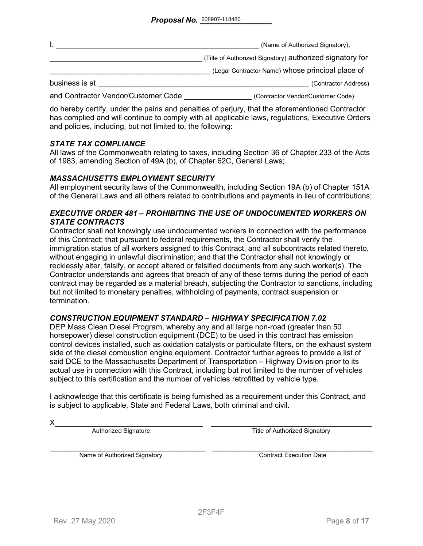|                                     | (Name of Authorized Signatory),                          |
|-------------------------------------|----------------------------------------------------------|
|                                     | (Title of Authorized Signatory) authorized signatory for |
|                                     | (Legal Contractor Name) whose principal place of         |
| business is at                      | (Contractor Address)                                     |
| and Contractor Vendor/Customer Code | (Contractor Vendor/Customer Code)                        |

do hereby certify, under the pains and penalties of perjury, that the aforementioned Contractor has complied and will continue to comply with all applicable laws, regulations, Executive Orders and policies, including, but not limited to, the following:

#### *STATE TAX COMPLIANCE*

All laws of the Commonwealth relating to taxes, including Section 36 of Chapter 233 of the Acts of 1983, amending Section of 49A (b), of Chapter 62C, General Laws;

#### *MASSACHUSETTS EMPLOYMENT SECURITY*

All employment security laws of the Commonwealth, including Section 19A (b) of Chapter 151A of the General Laws and all others related to contributions and payments in lieu of contributions;

#### *EXECUTIVE ORDER 481 – PROHIBITING THE USE OF UNDOCUMENTED WORKERS ON STATE CONTRACTS*

Contractor shall not knowingly use undocumented workers in connection with the performance of this Contract; that pursuant to federal requirements, the Contractor shall verify the immigration status of all workers assigned to this Contract, and all subcontracts related thereto, without engaging in unlawful discrimination; and that the Contractor shall not knowingly or recklessly alter, falsify, or accept altered or falsified documents from any such worker(s). The Contractor understands and agrees that breach of any of these terms during the period of each contract may be regarded as a material breach, subjecting the Contractor to sanctions, including but not limited to monetary penalties, withholding of payments, contract suspension or termination.

#### *CONSTRUCTION EQUIPMENT STANDARD – HIGHWAY SPECIFICATION 7.02*

DEP Mass Clean Diesel Program, whereby any and all large non-road (greater than 50 horsepower) diesel construction equipment (DCE) to be used in this contract has emission control devices installed, such as oxidation catalysts or particulate filters, on the exhaust system side of the diesel combustion engine equipment. Contractor further agrees to provide a list of said DCE to the Massachusetts Department of Transportation – Highway Division prior to its actual use in connection with this Contract, including but not limited to the number of vehicles subject to this certification and the number of vehicles retrofitted by vehicle type.

I acknowledge that this certificate is being furnished as a requirement under this Contract, and is subject to applicable, State and Federal Laws, both criminal and civil.

X\_\_\_\_\_\_\_\_\_\_\_\_\_\_\_\_\_\_\_\_\_\_\_\_\_\_\_\_\_\_\_\_\_\_\_ \_\_\_\_\_\_\_\_\_\_\_\_\_\_\_\_\_\_\_\_\_\_\_\_\_\_\_\_\_\_\_\_\_\_\_\_\_\_ Authorized Signature Title of Authorized Signatory

Name of Authorized Signatory **Execution Contract Execution Date**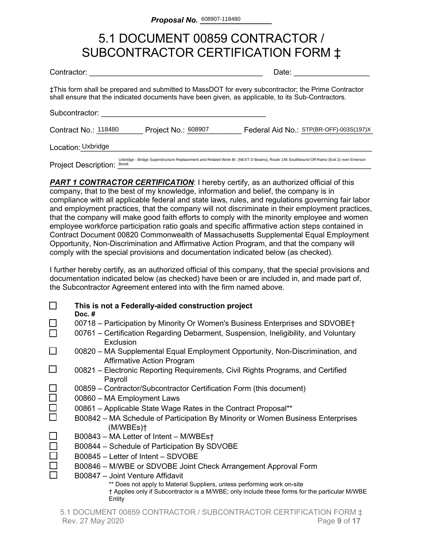### 5.1 DOCUMENT 00859 CONTRACTOR / SUBCONTRACTOR CERTIFICATION FORM ‡

| Contractor:                                 |                     | Date:                                                                                                                                                                                                    |
|---------------------------------------------|---------------------|----------------------------------------------------------------------------------------------------------------------------------------------------------------------------------------------------------|
|                                             |                     | ‡This form shall be prepared and submitted to MassDOT for every subcontractor; the Prime Contractor<br>shall ensure that the indicated documents have been given, as applicable, to its Sub-Contractors. |
| Subcontractor:                              |                     |                                                                                                                                                                                                          |
| Contract No.: 118480                        | Project No.: 608907 | Federal Aid No.: STP(BR-OFF)-003S(197)X                                                                                                                                                                  |
| Location: Uxbridge                          |                     |                                                                                                                                                                                                          |
| <b>Project Description:</b><br><b>Brook</b> |                     | Uxbridge - Bridge Superstructure Replacement and Related Work Br. (NEXT D Beams), Route 146 Southbound Off-Ramo (Exit 2) over Emerson                                                                    |

**PART 1 CONTRACTOR CERTIFICATION:** I hereby certify, as an authorized official of this company, that to the best of my knowledge, information and belief, the company is in compliance with all applicable federal and state laws, rules, and regulations governing fair labor and employment practices, that the company will not discriminate in their employment practices, that the company will make good faith efforts to comply with the minority employee and women employee workforce participation ratio goals and specific affirmative action steps contained in Contract Document 00820 Commonwealth of Massachusetts Supplemental Equal Employment Opportunity, Non-Discrimination and Affirmative Action Program, and that the company will comply with the special provisions and documentation indicated below (as checked).

I further hereby certify, as an authorized official of this company, that the special provisions and documentation indicated below (as checked) have been or are included in, and made part of, the Subcontractor Agreement entered into with the firm named above.

|        | This is not a Federally-aided construction project<br>Doc. $#$                                                                                                                     |
|--------|------------------------------------------------------------------------------------------------------------------------------------------------------------------------------------|
|        | 00718 – Participation by Minority Or Women's Business Enterprises and SDVOBE†                                                                                                      |
|        | 00761 – Certification Regarding Debarment, Suspension, Ineligibility, and Voluntary<br>Exclusion                                                                                   |
|        | 00820 – MA Supplemental Equal Employment Opportunity, Non-Discrimination, and<br><b>Affirmative Action Program</b>                                                                 |
|        | 00821 – Electronic Reporting Requirements, Civil Rights Programs, and Certified<br>Payroll                                                                                         |
|        | 00859 – Contractor/Subcontractor Certification Form (this document)                                                                                                                |
|        | 00860 - MA Employment Laws                                                                                                                                                         |
| $\Box$ | 00861 - Applicable State Wage Rates in the Contract Proposal**                                                                                                                     |
|        | B00842 – MA Schedule of Participation By Minority or Women Business Enterprises<br>(M/WBEs)t                                                                                       |
|        | B00843 - MA Letter of Intent - M/WBEst                                                                                                                                             |
|        | B00844 – Schedule of Participation By SDVOBE                                                                                                                                       |
|        | B00845 - Letter of Intent - SDVOBE                                                                                                                                                 |
|        | B00846 - M/WBE or SDVOBE Joint Check Arrangement Approval Form                                                                                                                     |
|        | B00847 - Joint Venture Affidavit                                                                                                                                                   |
|        | ** Does not apply to Material Suppliers, unless performing work on-site<br>† Applies only if Subcontractor is a M/WBE; only include these forms for the particular M/WBE<br>Entity |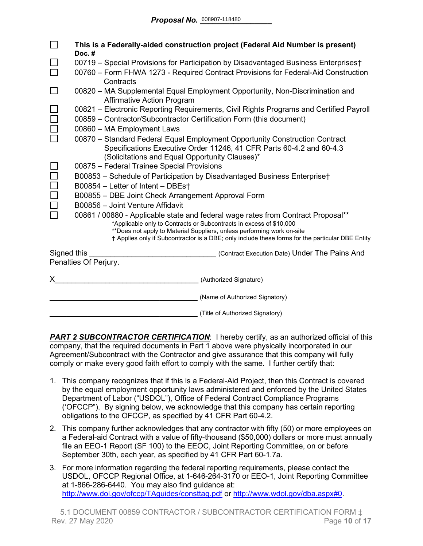|                                                                                                                                                                                                                                                                                                                                       | This is a Federally-aided construction project (Federal Aid Number is present)<br>Doc.#                           |  |  |
|---------------------------------------------------------------------------------------------------------------------------------------------------------------------------------------------------------------------------------------------------------------------------------------------------------------------------------------|-------------------------------------------------------------------------------------------------------------------|--|--|
|                                                                                                                                                                                                                                                                                                                                       | 00719 - Special Provisions for Participation by Disadvantaged Business Enterprises†                               |  |  |
|                                                                                                                                                                                                                                                                                                                                       | 00760 – Form FHWA 1273 - Required Contract Provisions for Federal-Aid Construction<br>Contracts                   |  |  |
|                                                                                                                                                                                                                                                                                                                                       | 00820 - MA Supplemental Equal Employment Opportunity, Non-Discrimination and<br><b>Affirmative Action Program</b> |  |  |
|                                                                                                                                                                                                                                                                                                                                       | 00821 - Electronic Reporting Requirements, Civil Rights Programs and Certified Payroll                            |  |  |
|                                                                                                                                                                                                                                                                                                                                       | 00859 - Contractor/Subcontractor Certification Form (this document)                                               |  |  |
|                                                                                                                                                                                                                                                                                                                                       | 00860 - MA Employment Laws                                                                                        |  |  |
|                                                                                                                                                                                                                                                                                                                                       | 00870 - Standard Federal Equal Employment Opportunity Construction Contract                                       |  |  |
|                                                                                                                                                                                                                                                                                                                                       | Specifications Executive Order 11246, 41 CFR Parts 60-4.2 and 60-4.3                                              |  |  |
| (Solicitations and Equal Opportunity Clauses)*                                                                                                                                                                                                                                                                                        |                                                                                                                   |  |  |
|                                                                                                                                                                                                                                                                                                                                       | 00875 - Federal Trainee Special Provisions                                                                        |  |  |
|                                                                                                                                                                                                                                                                                                                                       | B00853 - Schedule of Participation by Disadvantaged Business Enterprise†<br>B00854 - Letter of Intent - DBEst     |  |  |
|                                                                                                                                                                                                                                                                                                                                       | B00855 - DBE Joint Check Arrangement Approval Form                                                                |  |  |
|                                                                                                                                                                                                                                                                                                                                       | B00856 - Joint Venture Affidavit                                                                                  |  |  |
| 00861 / 00880 - Applicable state and federal wage rates from Contract Proposal**<br>*Applicable only to Contracts or Subcontracts in excess of \$10,000<br>**Does not apply to Material Suppliers, unless performing work on-site<br>† Applies only if Subcontractor is a DBE; only include these forms for the particular DBE Entity |                                                                                                                   |  |  |
| Signed this                                                                                                                                                                                                                                                                                                                           | (Contract Execution Date) Under The Pains And<br>Penalties Of Perjury.                                            |  |  |
|                                                                                                                                                                                                                                                                                                                                       |                                                                                                                   |  |  |
| X.                                                                                                                                                                                                                                                                                                                                    | (Authorized Signature)                                                                                            |  |  |
|                                                                                                                                                                                                                                                                                                                                       | (Name of Authorized Signatory)                                                                                    |  |  |
|                                                                                                                                                                                                                                                                                                                                       | (Title of Authorized Signatory)                                                                                   |  |  |

**PART 2 SUBCONTRACTOR CERTIFICATION:** I hereby certify, as an authorized official of this company, that the required documents in Part 1 above were physically incorporated in our Agreement/Subcontract with the Contractor and give assurance that this company will fully comply or make every good faith effort to comply with the same. I further certify that:

- 1. This company recognizes that if this is a Federal-Aid Project, then this Contract is covered by the equal employment opportunity laws administered and enforced by the United States Department of Labor ("USDOL"), Office of Federal Contract Compliance Programs ('OFCCP"). By signing below, we acknowledge that this company has certain reporting obligations to the OFCCP, as specified by 41 CFR Part 60-4.2.
- 2. This company further acknowledges that any contractor with fifty (50) or more employees on a Federal-aid Contract with a value of fifty-thousand (\$50,000) dollars or more must annually file an EEO-1 Report (SF 100) to the EEOC, Joint Reporting Committee, on or before September 30th, each year, as specified by 41 CFR Part 60-1.7a.
- 3. For more information regarding the federal reporting requirements, please contact the USDOL, OFCCP Regional Office, at 1-646-264-3170 or EEO-1, Joint Reporting Committee at 1-866-286-6440. You may also find guidance at: <http://www.dol.gov/ofccp/TAguides/consttag.pdf> or [http://www.wdol.gov/dba.aspx#0.](http://www.wdol.gov/dba.aspx#0)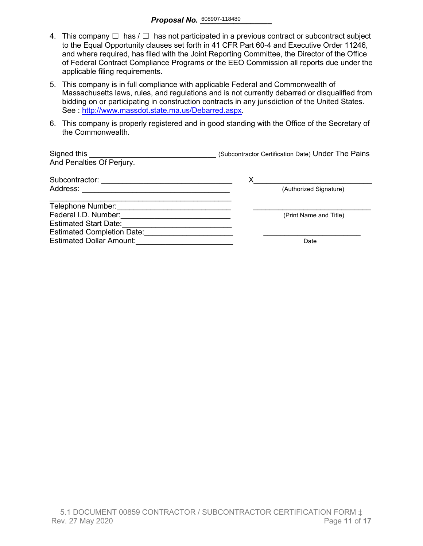- 4. This company  $\Box$  has  $\Box$  has not participated in a previous contract or subcontract subject to the Equal Opportunity clauses set forth in 41 CFR Part 60-4 and Executive Order 11246, and where required, has filed with the Joint Reporting Committee, the Director of the Office of Federal Contract Compliance Programs or the EEO Commission all reports due under the applicable filing requirements.
- 5. This company is in full compliance with applicable Federal and Commonwealth of Massachusetts laws, rules, and regulations and is not currently debarred or disqualified from bidding on or participating in construction contracts in any jurisdiction of the United States. See : http://www.massdot.state.ma.us/Debarred.aspx.
- 6. This company is properly registered and in good standing with the Office of the Secretary of the Commonwealth.

| Signed this<br>And Penalties Of Perjury. | (Subcontractor Certification Date) Under The Pains |
|------------------------------------------|----------------------------------------------------|
| Subcontractor:                           |                                                    |
| Address:                                 | (Authorized Signature)                             |
| Telephone Number:                        |                                                    |
| Federal I.D. Number:                     | (Print Name and Title)                             |
| <b>Estimated Start Date:</b>             |                                                    |
| <b>Estimated Completion Date:</b>        |                                                    |
| <b>Estimated Dollar Amount:</b>          | Date                                               |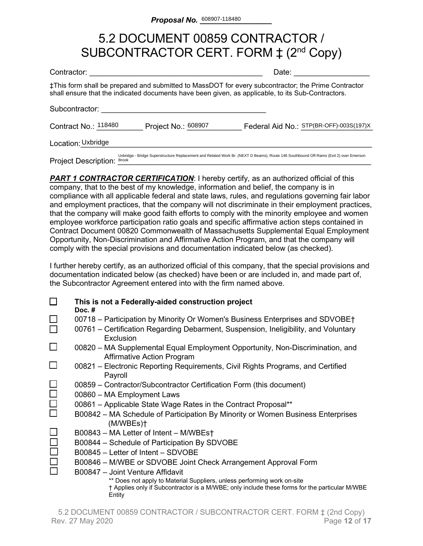# 5.2 DOCUMENT 00859 CONTRACTOR / SUBCONTRACTOR CERT. FORM  $\ddagger$  (2<sup>nd</sup> Copy)

| Contractor:                                                                                                                                                                                              |                     | Date:                                                                                                                                 |  |  |  |  |  |  |  |
|----------------------------------------------------------------------------------------------------------------------------------------------------------------------------------------------------------|---------------------|---------------------------------------------------------------------------------------------------------------------------------------|--|--|--|--|--|--|--|
| ‡This form shall be prepared and submitted to MassDOT for every subcontractor; the Prime Contractor<br>shall ensure that the indicated documents have been given, as applicable, to its Sub-Contractors. |                     |                                                                                                                                       |  |  |  |  |  |  |  |
| Subcontractor:                                                                                                                                                                                           |                     |                                                                                                                                       |  |  |  |  |  |  |  |
| Contract No.: 118480                                                                                                                                                                                     | Project No.: 608907 | Federal Aid No.: STP(BR-OFF)-003S(197)X                                                                                               |  |  |  |  |  |  |  |
| Location: Uxbridge                                                                                                                                                                                       |                     |                                                                                                                                       |  |  |  |  |  |  |  |
| <b>Project Description:</b><br><b>Brook</b>                                                                                                                                                              |                     | Uxbridge - Bridge Superstructure Replacement and Related Work Br. (NEXT D Beams), Route 146 Southbound Off-Ramo (Exit 2) over Emerson |  |  |  |  |  |  |  |

**PART 1 CONTRACTOR CERTIFICATION:** I hereby certify, as an authorized official of this company, that to the best of my knowledge, information and belief, the company is in compliance with all applicable federal and state laws, rules, and regulations governing fair labor and employment practices, that the company will not discriminate in their employment practices, that the company will make good faith efforts to comply with the minority employee and women employee workforce participation ratio goals and specific affirmative action steps contained in Contract Document 00820 Commonwealth of Massachusetts Supplemental Equal Employment Opportunity, Non-Discrimination and Affirmative Action Program, and that the company will comply with the special provisions and documentation indicated below (as checked).

I further hereby certify, as an authorized official of this company, that the special provisions and documentation indicated below (as checked) have been or are included in, and made part of, the Subcontractor Agreement entered into with the firm named above.

|        | This is not a Federally-aided construction project<br>Doc. $#$                                                                                                                     |
|--------|------------------------------------------------------------------------------------------------------------------------------------------------------------------------------------|
|        | 00718 – Participation by Minority Or Women's Business Enterprises and SDVOBE†                                                                                                      |
|        | 00761 – Certification Regarding Debarment, Suspension, Ineligibility, and Voluntary<br>Exclusion                                                                                   |
| $\Box$ | 00820 – MA Supplemental Equal Employment Opportunity, Non-Discrimination, and<br><b>Affirmative Action Program</b>                                                                 |
|        | 00821 – Electronic Reporting Requirements, Civil Rights Programs, and Certified<br>Payroll                                                                                         |
|        | 00859 – Contractor/Subcontractor Certification Form (this document)                                                                                                                |
|        | 00860 - MA Employment Laws                                                                                                                                                         |
| $\Box$ | 00861 – Applicable State Wage Rates in the Contract Proposal**                                                                                                                     |
|        | B00842 – MA Schedule of Participation By Minority or Women Business Enterprises<br>(M/WBEs)                                                                                        |
|        | B00843 – MA Letter of Intent – M/WBEst                                                                                                                                             |
|        | B00844 - Schedule of Participation By SDVOBE                                                                                                                                       |
|        | B00845 – Letter of Intent – SDVOBE                                                                                                                                                 |
|        | B00846 – M/WBE or SDVOBE Joint Check Arrangement Approval Form                                                                                                                     |
|        | B00847 - Joint Venture Affidavit                                                                                                                                                   |
|        | ** Does not apply to Material Suppliers, unless performing work on-site<br>† Applies only if Subcontractor is a M/WBE; only include these forms for the particular M/WBE<br>Entity |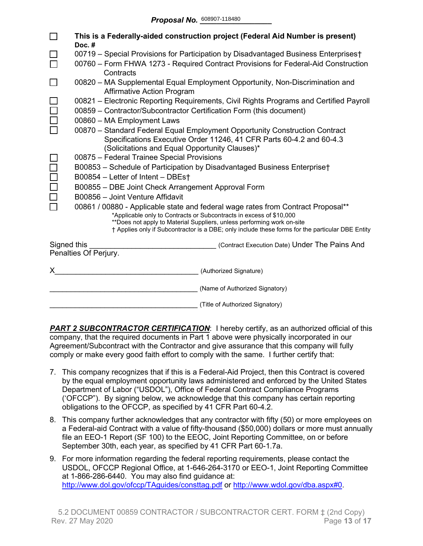|                                                                                                                                                               | This is a Federally-aided construction project (Federal Aid Number is present)<br>Doc.#                                                                                                                                                                                                                                               |  |  |  |  |  |  |  |  |
|---------------------------------------------------------------------------------------------------------------------------------------------------------------|---------------------------------------------------------------------------------------------------------------------------------------------------------------------------------------------------------------------------------------------------------------------------------------------------------------------------------------|--|--|--|--|--|--|--|--|
|                                                                                                                                                               | 00719 - Special Provisions for Participation by Disadvantaged Business Enterprises†                                                                                                                                                                                                                                                   |  |  |  |  |  |  |  |  |
|                                                                                                                                                               | 00760 - Form FHWA 1273 - Required Contract Provisions for Federal-Aid Construction<br>Contracts                                                                                                                                                                                                                                       |  |  |  |  |  |  |  |  |
|                                                                                                                                                               | 00820 – MA Supplemental Equal Employment Opportunity, Non-Discrimination and<br><b>Affirmative Action Program</b>                                                                                                                                                                                                                     |  |  |  |  |  |  |  |  |
| 00821 – Electronic Reporting Requirements, Civil Rights Programs and Certified Payroll<br>00859 - Contractor/Subcontractor Certification Form (this document) |                                                                                                                                                                                                                                                                                                                                       |  |  |  |  |  |  |  |  |
|                                                                                                                                                               | 00860 - MA Employment Laws                                                                                                                                                                                                                                                                                                            |  |  |  |  |  |  |  |  |
|                                                                                                                                                               | 00870 - Standard Federal Equal Employment Opportunity Construction Contract<br>Specifications Executive Order 11246, 41 CFR Parts 60-4.2 and 60-4.3<br>(Solicitations and Equal Opportunity Clauses)*                                                                                                                                 |  |  |  |  |  |  |  |  |
|                                                                                                                                                               | 00875 - Federal Trainee Special Provisions                                                                                                                                                                                                                                                                                            |  |  |  |  |  |  |  |  |
|                                                                                                                                                               | B00853 - Schedule of Participation by Disadvantaged Business Enterprise†                                                                                                                                                                                                                                                              |  |  |  |  |  |  |  |  |
|                                                                                                                                                               | B00854 - Letter of Intent - DBEst                                                                                                                                                                                                                                                                                                     |  |  |  |  |  |  |  |  |
| B00855 - DBE Joint Check Arrangement Approval Form                                                                                                            |                                                                                                                                                                                                                                                                                                                                       |  |  |  |  |  |  |  |  |
|                                                                                                                                                               | B00856 - Joint Venture Affidavit                                                                                                                                                                                                                                                                                                      |  |  |  |  |  |  |  |  |
|                                                                                                                                                               | 00861 / 00880 - Applicable state and federal wage rates from Contract Proposal**<br>*Applicable only to Contracts or Subcontracts in excess of \$10,000<br>**Does not apply to Material Suppliers, unless performing work on-site<br>† Applies only if Subcontractor is a DBE; only include these forms for the particular DBE Entity |  |  |  |  |  |  |  |  |
| Signed this                                                                                                                                                   | (Contract Execution Date) Under The Pains And                                                                                                                                                                                                                                                                                         |  |  |  |  |  |  |  |  |
|                                                                                                                                                               | Penalties Of Perjury.                                                                                                                                                                                                                                                                                                                 |  |  |  |  |  |  |  |  |
| X.                                                                                                                                                            | (Authorized Signature)                                                                                                                                                                                                                                                                                                                |  |  |  |  |  |  |  |  |
|                                                                                                                                                               | (Name of Authorized Signatory)                                                                                                                                                                                                                                                                                                        |  |  |  |  |  |  |  |  |
|                                                                                                                                                               | (Title of Authorized Signatory)                                                                                                                                                                                                                                                                                                       |  |  |  |  |  |  |  |  |

**PART 2 SUBCONTRACTOR CERTIFICATION:** I hereby certify, as an authorized official of this company, that the required documents in Part 1 above were physically incorporated in our Agreement/Subcontract with the Contractor and give assurance that this company will fully comply or make every good faith effort to comply with the same. I further certify that:

- 7. This company recognizes that if this is a Federal-Aid Project, then this Contract is covered by the equal employment opportunity laws administered and enforced by the United States Department of Labor ("USDOL"), Office of Federal Contract Compliance Programs ('OFCCP"). By signing below, we acknowledge that this company has certain reporting obligations to the OFCCP, as specified by 41 CFR Part 60-4.2.
- 8. This company further acknowledges that any contractor with fifty (50) or more employees on a Federal-aid Contract with a value of fifty-thousand (\$50,000) dollars or more must annually file an EEO-1 Report (SF 100) to the EEOC, Joint Reporting Committee, on or before September 30th, each year, as specified by 41 CFR Part 60-1.7a.
- 9. For more information regarding the federal reporting requirements, please contact the USDOL, OFCCP Regional Office, at 1-646-264-3170 or EEO-1, Joint Reporting Committee at 1-866-286-6440. You may also find guidance at: <http://www.dol.gov/ofccp/TAguides/consttag.pdf> or [http://www.wdol.gov/dba.aspx#0.](http://www.wdol.gov/dba.aspx#0)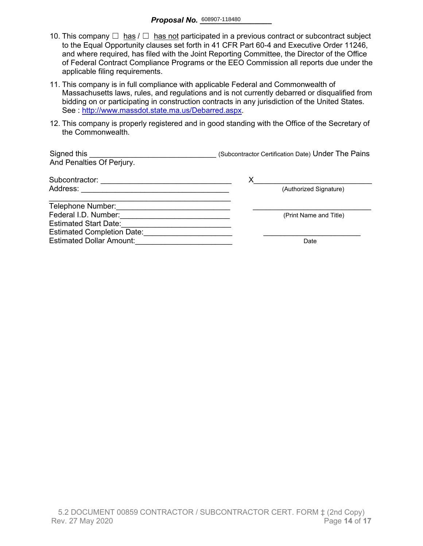- 10. This company  $\Box$  has  $\Box$  has not participated in a previous contract or subcontract subject to the Equal Opportunity clauses set forth in 41 CFR Part 60-4 and Executive Order 11246, and where required, has filed with the Joint Reporting Committee, the Director of the Office of Federal Contract Compliance Programs or the EEO Commission all reports due under the applicable filing requirements.
- 11. This company is in full compliance with applicable Federal and Commonwealth of Massachusetts laws, rules, and regulations and is not currently debarred or disqualified from bidding on or participating in construction contracts in any jurisdiction of the United States. See : [http://www.massdot.state.ma.us/Debarred.aspx.](http://www.massdot.state.ma.us/Debarred.aspx)
- 12. This company is properly registered and in good standing with the Office of the Secretary of the Commonwealth.

| Signed this<br>And Penalties Of Perjury. | (Subcontractor Certification Date) Under The Pains |
|------------------------------------------|----------------------------------------------------|
| Subcontractor:                           | х                                                  |
| Address:                                 | (Authorized Signature)                             |
| Telephone Number:                        |                                                    |
| Federal I.D. Number:                     | (Print Name and Title)                             |
| <b>Estimated Start Date:</b>             |                                                    |
| <b>Estimated Completion Date:</b>        |                                                    |
| <b>Estimated Dollar Amount:</b>          | Date                                               |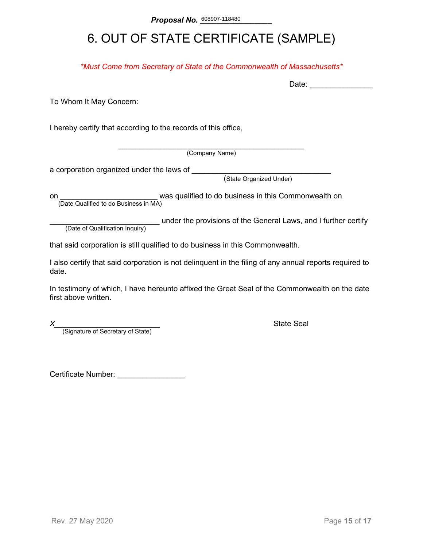# 6. OUT OF STATE CERTIFICATE (SAMPLE)

*\*Must Come from Secretary of State of the Commonwealth of Massachusetts\**

To Whom It May Concern:

I hereby certify that according to the records of this office,

\_\_\_\_\_\_\_\_\_\_\_\_\_\_\_\_\_\_\_\_\_\_\_\_\_\_\_\_\_\_\_\_\_\_\_\_\_\_\_\_\_\_\_\_ (Company Name)

a corporation organized under the laws of \_\_\_\_\_\_\_\_

(State Organized Under)

on **on Example 2** was qualified to do business in this Commonwealth on (Date Qualified to do Business in MA)

(Date of Qualification Inquiry) under the provisions of the General Laws, and I further certify (Date of Qualification Inquiry)

that said corporation is still qualified to do business in this Commonwealth.

I also certify that said corporation is not delinquent in the filing of any annual reports required to date.

In testimony of which, I have hereunto affixed the Great Seal of the Commonwealth on the date first above written.

*X*<br>(Signature of Secretary of State) **Alternative State Seal State Seal Alternative State** 

Certificate Number: \_\_\_\_\_\_\_\_\_\_\_\_\_\_\_\_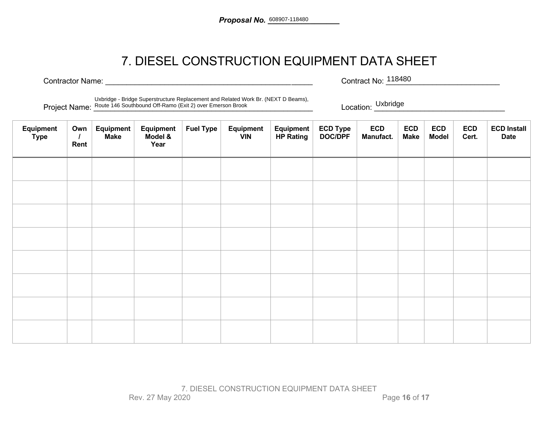# 7. DIESEL CONSTRUCTION EQUIPMENT DATA SHEET

Contractor Name: <u>and the set of the set of the set of the set of the set of the set of the set of the set of the set of the set of the set of the set of the set of the set of the set of the set of the set of the set of th</u> Contract No: 118480

Project Name: <u>Route 146 Southbound Off-Ramo (Exit 2)</u> over Emerson Brook **Contained and Contained Accepts** Location: <u>CONDINGUE</u> Uxbridge - Bridge Superstructure Replacement and Related Work Br. (NEXT D Beams),

Location: Uxbridge

| Equipment<br><b>Type</b> | Own<br>$\prime$<br>Rent | Equipment<br><b>Make</b> | Equipment<br>Model &<br>Year | <b>Fuel Type</b> | Equipment<br><b>VIN</b> | Equipment<br><b>HP Rating</b> | ECD Type<br>DOC/DPF | <b>ECD</b><br>Manufact. | <b>ECD</b><br><b>Make</b> | <b>ECD</b><br><b>Model</b> | <b>ECD</b><br>Cert. | <b>ECD Install</b><br><b>Date</b> |
|--------------------------|-------------------------|--------------------------|------------------------------|------------------|-------------------------|-------------------------------|---------------------|-------------------------|---------------------------|----------------------------|---------------------|-----------------------------------|
|                          |                         |                          |                              |                  |                         |                               |                     |                         |                           |                            |                     |                                   |
|                          |                         |                          |                              |                  |                         |                               |                     |                         |                           |                            |                     |                                   |
|                          |                         |                          |                              |                  |                         |                               |                     |                         |                           |                            |                     |                                   |
|                          |                         |                          |                              |                  |                         |                               |                     |                         |                           |                            |                     |                                   |
|                          |                         |                          |                              |                  |                         |                               |                     |                         |                           |                            |                     |                                   |
|                          |                         |                          |                              |                  |                         |                               |                     |                         |                           |                            |                     |                                   |
|                          |                         |                          |                              |                  |                         |                               |                     |                         |                           |                            |                     |                                   |
|                          |                         |                          |                              |                  |                         |                               |                     |                         |                           |                            |                     |                                   |